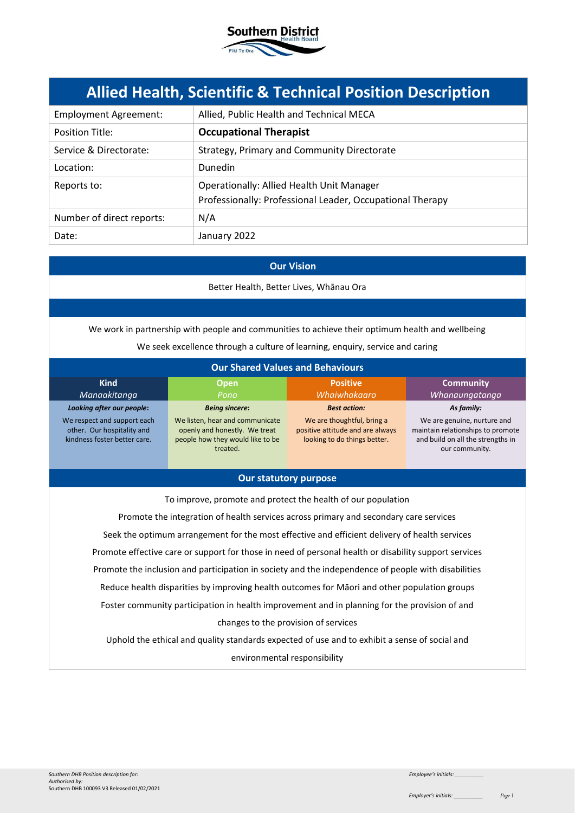

# **Allied Health, Scientific & Technical Position Description**

| <b>Employment Agreement:</b> | Allied, Public Health and Technical MECA                                                               |
|------------------------------|--------------------------------------------------------------------------------------------------------|
| Position Title:              | <b>Occupational Therapist</b>                                                                          |
| Service & Directorate:       | Strategy, Primary and Community Directorate                                                            |
| Location:                    | <b>Dunedin</b>                                                                                         |
| Reports to:                  | Operationally: Allied Health Unit Manager<br>Professionally: Professional Leader, Occupational Therapy |
| Number of direct reports:    | N/A                                                                                                    |
| Date:                        | January 2022                                                                                           |

## **Our Vision**

Better Health, Better Lives, Whānau Ora

We work in partnership with people and communities to achieve their optimum health and wellbeing

We seek excellence through a culture of learning, enquiry, service and caring

| <b>Our Shared Values and Behaviours</b>                                                   |                                                                                                                  |                                                                                                |                                                                                                                         |
|-------------------------------------------------------------------------------------------|------------------------------------------------------------------------------------------------------------------|------------------------------------------------------------------------------------------------|-------------------------------------------------------------------------------------------------------------------------|
| <b>Kind</b><br>Manaakitanga                                                               | <b>Open</b><br>Pono                                                                                              | <b>Positive</b><br>Whaiwhakaaro                                                                | <b>Community</b><br>Whanaungatanga                                                                                      |
| Looking after our people:                                                                 | <b>Being sincere:</b>                                                                                            | <b>Best action:</b>                                                                            | As family:                                                                                                              |
| We respect and support each<br>other. Our hospitality and<br>kindness foster better care. | We listen, hear and communicate<br>openly and honestly. We treat<br>people how they would like to be<br>treated. | We are thoughtful, bring a<br>positive attitude and are always<br>looking to do things better. | We are genuine, nurture and<br>maintain relationships to promote<br>and build on all the strengths in<br>our community. |

# **Our statutory purpose**

To improve, promote and protect the health of our population

Promote the integration of health services across primary and secondary care services Seek the optimum arrangement for the most effective and efficient delivery of health services Promote effective care or support for those in need of personal health or disability support services Promote the inclusion and participation in society and the independence of people with disabilities Reduce health disparities by improving health outcomes for Māori and other population groups Foster community participation in health improvement and in planning for the provision of and changes to the provision of services Uphold the ethical and quality standards expected of use and to exhibit a sense of social and

environmental responsibility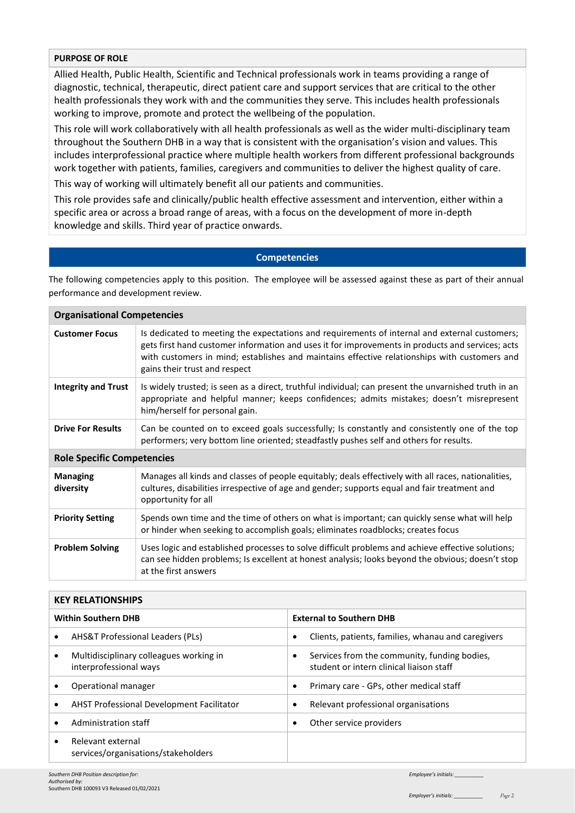## **PURPOSE OF ROLE**

Allied Health, Public Health, Scientific and Technical professionals work in teams providing a range of diagnostic, technical, therapeutic, direct patient care and support services that are critical to the other health professionals they work with and the communities they serve. This includes health professionals working to improve, promote and protect the wellbeing of the population.

This role will work collaboratively with all health professionals as well as the wider multi-disciplinary team throughout the Southern DHB in a way that is consistent with the organisation's vision and values. This includes interprofessional practice where multiple health workers from different professional backgrounds work together with patients, families, caregivers and communities to deliver the highest quality of care.

This way of working will ultimately benefit all our patients and communities.

This role provides safe and clinically/public health effective assessment and intervention, either within a specific area or across a broad range of areas, with a focus on the development of more in-depth knowledge and skills. Third year of practice onwards.

## **Competencies**

The following competencies apply to this position. The employee will be assessed against these as part of their annual performance and development review.

| <b>Organisational Competencies</b> |                                                                                                                                                                                                                                                                                                                                    |  |
|------------------------------------|------------------------------------------------------------------------------------------------------------------------------------------------------------------------------------------------------------------------------------------------------------------------------------------------------------------------------------|--|
| <b>Customer Focus</b>              | Is dedicated to meeting the expectations and requirements of internal and external customers;<br>gets first hand customer information and uses it for improvements in products and services; acts<br>with customers in mind; establishes and maintains effective relationships with customers and<br>gains their trust and respect |  |
| <b>Integrity and Trust</b>         | Is widely trusted; is seen as a direct, truthful individual; can present the unvarnished truth in an<br>appropriate and helpful manner; keeps confidences; admits mistakes; doesn't misrepresent<br>him/herself for personal gain.                                                                                                 |  |
| <b>Drive For Results</b>           | Can be counted on to exceed goals successfully; Is constantly and consistently one of the top<br>performers; very bottom line oriented; steadfastly pushes self and others for results.                                                                                                                                            |  |
| <b>Role Specific Competencies</b>  |                                                                                                                                                                                                                                                                                                                                    |  |
| <b>Managing</b><br>diversity       | Manages all kinds and classes of people equitably; deals effectively with all races, nationalities,<br>cultures, disabilities irrespective of age and gender; supports equal and fair treatment and<br>opportunity for all                                                                                                         |  |
| <b>Priority Setting</b>            | Spends own time and the time of others on what is important; can quickly sense what will help<br>or hinder when seeking to accomplish goals; eliminates roadblocks; creates focus                                                                                                                                                  |  |
| <b>Problem Solving</b>             | Uses logic and established processes to solve difficult problems and achieve effective solutions;<br>can see hidden problems; Is excellent at honest analysis; looks beyond the obvious; doesn't stop<br>at the first answers                                                                                                      |  |

| <b>KEY RELATIONSHIPS</b>                                                       |                                                                                               |  |
|--------------------------------------------------------------------------------|-----------------------------------------------------------------------------------------------|--|
| <b>Within Southern DHB</b>                                                     | <b>External to Southern DHB</b>                                                               |  |
| <b>AHS&amp;T Professional Leaders (PLs)</b><br>$\bullet$                       | Clients, patients, families, whanau and caregivers<br>٠                                       |  |
| Multidisciplinary colleagues working in<br>$\bullet$<br>interprofessional ways | Services from the community, funding bodies,<br>٠<br>student or intern clinical liaison staff |  |
| Operational manager                                                            | Primary care - GPs, other medical staff                                                       |  |
| <b>AHST Professional Development Facilitator</b><br>$\bullet$                  | Relevant professional organisations                                                           |  |
| Administration staff<br>$\bullet$                                              | Other service providers                                                                       |  |
| Relevant external<br>$\bullet$<br>services/organisations/stakeholders          |                                                                                               |  |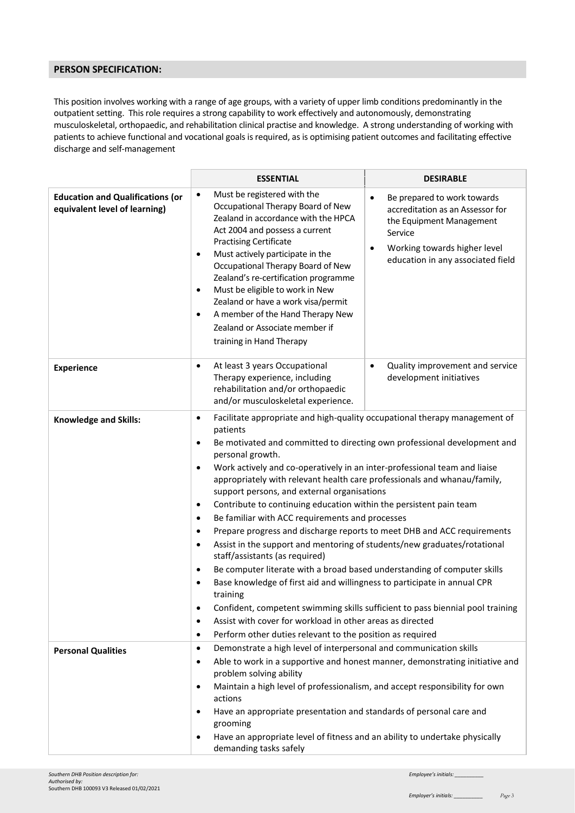# **PERSON SPECIFICATION:**

This position involves working with a range of age groups, with a variety of upper limb conditions predominantly in the outpatient setting. This role requires a strong capability to work effectively and autonomously, demonstrating musculoskeletal, orthopaedic, and rehabilitation clinical practise and knowledge. A strong understanding of working with patients to achieve functional and vocational goals is required, as is optimising patient outcomes and facilitating effective discharge and self-management

|                                                                          | <b>ESSENTIAL</b>                                                                                                                                                                                                                                                                                                                                                                                                                                                                                                           | <b>DESIRABLE</b>                                                                                                                                                                                                                                                                                                                                                                                                                                                                                                                                                                                                                                                                                                                                                                                                                                                                                                                                                                                                   |  |
|--------------------------------------------------------------------------|----------------------------------------------------------------------------------------------------------------------------------------------------------------------------------------------------------------------------------------------------------------------------------------------------------------------------------------------------------------------------------------------------------------------------------------------------------------------------------------------------------------------------|--------------------------------------------------------------------------------------------------------------------------------------------------------------------------------------------------------------------------------------------------------------------------------------------------------------------------------------------------------------------------------------------------------------------------------------------------------------------------------------------------------------------------------------------------------------------------------------------------------------------------------------------------------------------------------------------------------------------------------------------------------------------------------------------------------------------------------------------------------------------------------------------------------------------------------------------------------------------------------------------------------------------|--|
| <b>Education and Qualifications (or</b><br>equivalent level of learning) | Must be registered with the<br>$\bullet$<br>Occupational Therapy Board of New<br>Zealand in accordance with the HPCA<br>Act 2004 and possess a current<br><b>Practising Certificate</b><br>Must actively participate in the<br>$\bullet$<br>Occupational Therapy Board of New<br>Zealand's re-certification programme<br>Must be eligible to work in New<br>$\bullet$<br>Zealand or have a work visa/permit<br>A member of the Hand Therapy New<br>$\bullet$<br>Zealand or Associate member if<br>training in Hand Therapy | Be prepared to work towards<br>$\bullet$<br>accreditation as an Assessor for<br>the Equipment Management<br>Service<br>Working towards higher level<br>$\bullet$<br>education in any associated field                                                                                                                                                                                                                                                                                                                                                                                                                                                                                                                                                                                                                                                                                                                                                                                                              |  |
| <b>Experience</b>                                                        | At least 3 years Occupational<br>$\bullet$<br>Therapy experience, including<br>rehabilitation and/or orthopaedic<br>and/or musculoskeletal experience.                                                                                                                                                                                                                                                                                                                                                                     | Quality improvement and service<br>$\bullet$<br>development initiatives                                                                                                                                                                                                                                                                                                                                                                                                                                                                                                                                                                                                                                                                                                                                                                                                                                                                                                                                            |  |
| <b>Knowledge and Skills:</b>                                             | $\bullet$<br>patients<br>$\bullet$<br>personal growth.<br>$\bullet$<br>$\bullet$<br>$\bullet$<br>$\bullet$<br>$\bullet$<br>staff/assistants (as required)<br>$\bullet$<br>$\bullet$<br>training<br>$\bullet$<br>٠<br>$\bullet$                                                                                                                                                                                                                                                                                             | Facilitate appropriate and high-quality occupational therapy management of<br>Be motivated and committed to directing own professional development and<br>Work actively and co-operatively in an inter-professional team and liaise<br>appropriately with relevant health care professionals and whanau/family,<br>support persons, and external organisations<br>Contribute to continuing education within the persistent pain team<br>Be familiar with ACC requirements and processes<br>Prepare progress and discharge reports to meet DHB and ACC requirements<br>Assist in the support and mentoring of students/new graduates/rotational<br>Be computer literate with a broad based understanding of computer skills<br>Base knowledge of first aid and willingness to participate in annual CPR<br>Confident, competent swimming skills sufficient to pass biennial pool training<br>Assist with cover for workload in other areas as directed<br>Perform other duties relevant to the position as required |  |
| <b>Personal Qualities</b>                                                | Demonstrate a high level of interpersonal and communication skills<br>$\bullet$<br>٠<br>problem solving ability<br>Maintain a high level of professionalism, and accept responsibility for own<br>٠<br>actions<br>Have an appropriate presentation and standards of personal care and<br>$\bullet$<br>grooming<br>Have an appropriate level of fitness and an ability to undertake physically<br>٠<br>demanding tasks safely                                                                                               | Able to work in a supportive and honest manner, demonstrating initiative and                                                                                                                                                                                                                                                                                                                                                                                                                                                                                                                                                                                                                                                                                                                                                                                                                                                                                                                                       |  |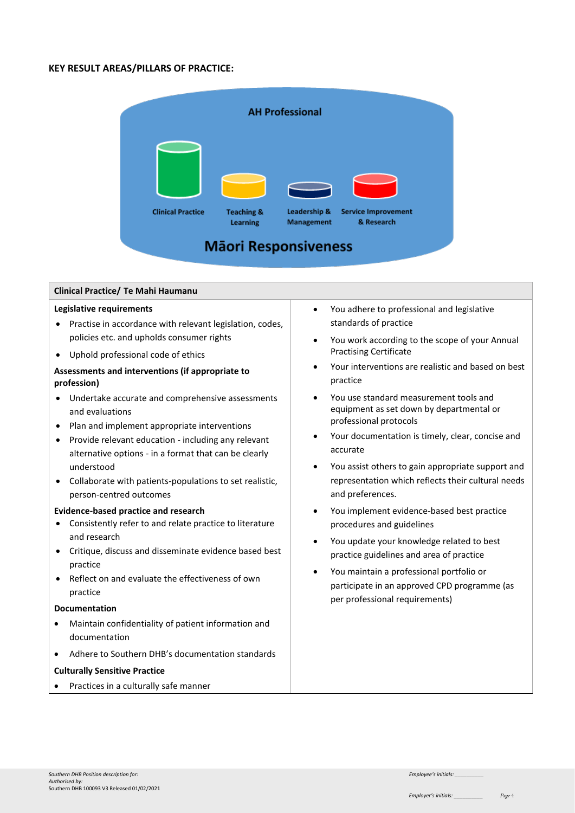# **KEY RESULT AREAS/PILLARS OF PRACTICE:**



#### **Clinical Practice/ Te Mahi Haumanu**

#### **Legislative requirements**

- Practise in accordance with relevant legislation, codes, policies etc. and upholds consumer rights
- Uphold professional code of ethics

## **Assessments and interventions (if appropriate to profession)**

- Undertake accurate and comprehensive assessments and evaluations
- Plan and implement appropriate interventions
- Provide relevant education including any relevant alternative options - in a format that can be clearly understood
- Collaborate with patients-populations to set realistic, person-centred outcomes

#### **Evidence-based practice and research**

- Consistently refer to and relate practice to literature and research
- Critique, discuss and disseminate evidence based best practice
- Reflect on and evaluate the effectiveness of own practice

#### **Documentation**

- Maintain confidentiality of patient information and documentation
- Adhere to Southern DHB's documentation standards

## **Culturally Sensitive Practice**

Practices in a culturally safe manner

- You adhere to professional and legislative standards of practice
- You work according to the scope of your Annual Practising Certificate
- Your interventions are realistic and based on best practice
- You use standard measurement tools and equipment as set down by departmental or professional protocols
- Your documentation is timely, clear, concise and accurate
- You assist others to gain appropriate support and representation which reflects their cultural needs and preferences.
- You implement evidence-based best practice procedures and guidelines
- You update your knowledge related to best practice guidelines and area of practice
- You maintain a professional portfolio or participate in an approved CPD programme (as per professional requirements)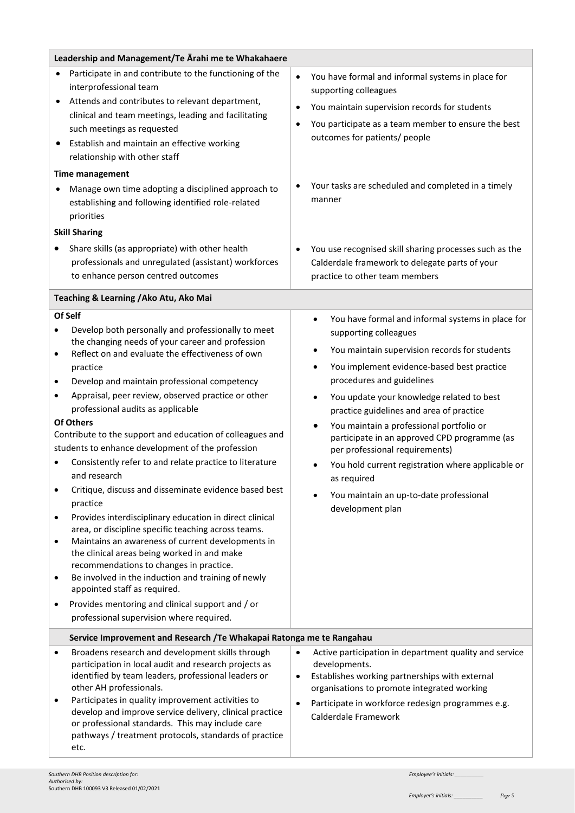| Leadership and Management/Te Arahi me te Whakahaere                                                                                                                                                                                                                                                                                                                                                                                                                                                                                                                                                                                                                                                                                                                                                                                                                                                                                                                                                                                                                                                            |                                                                                                                                                                                                                                                                                                                                                                                                                                                                                                                                                                                            |  |
|----------------------------------------------------------------------------------------------------------------------------------------------------------------------------------------------------------------------------------------------------------------------------------------------------------------------------------------------------------------------------------------------------------------------------------------------------------------------------------------------------------------------------------------------------------------------------------------------------------------------------------------------------------------------------------------------------------------------------------------------------------------------------------------------------------------------------------------------------------------------------------------------------------------------------------------------------------------------------------------------------------------------------------------------------------------------------------------------------------------|--------------------------------------------------------------------------------------------------------------------------------------------------------------------------------------------------------------------------------------------------------------------------------------------------------------------------------------------------------------------------------------------------------------------------------------------------------------------------------------------------------------------------------------------------------------------------------------------|--|
| Participate in and contribute to the functioning of the<br>interprofessional team<br>Attends and contributes to relevant department,<br>clinical and team meetings, leading and facilitating<br>such meetings as requested<br>Establish and maintain an effective working<br>relationship with other staff<br><b>Time management</b><br>Manage own time adopting a disciplined approach to<br>establishing and following identified role-related<br>priorities<br><b>Skill Sharing</b>                                                                                                                                                                                                                                                                                                                                                                                                                                                                                                                                                                                                                         | You have formal and informal systems in place for<br>$\bullet$<br>supporting colleagues<br>You maintain supervision records for students<br>$\bullet$<br>You participate as a team member to ensure the best<br>$\bullet$<br>outcomes for patients/ people<br>Your tasks are scheduled and completed in a timely<br>manner                                                                                                                                                                                                                                                                 |  |
| Share skills (as appropriate) with other health<br>professionals and unregulated (assistant) workforces<br>to enhance person centred outcomes                                                                                                                                                                                                                                                                                                                                                                                                                                                                                                                                                                                                                                                                                                                                                                                                                                                                                                                                                                  | You use recognised skill sharing processes such as the<br>Calderdale framework to delegate parts of your<br>practice to other team members                                                                                                                                                                                                                                                                                                                                                                                                                                                 |  |
| Teaching & Learning / Ako Atu, Ako Mai                                                                                                                                                                                                                                                                                                                                                                                                                                                                                                                                                                                                                                                                                                                                                                                                                                                                                                                                                                                                                                                                         |                                                                                                                                                                                                                                                                                                                                                                                                                                                                                                                                                                                            |  |
| Of Self<br>Develop both personally and professionally to meet<br>the changing needs of your career and profession<br>Reflect on and evaluate the effectiveness of own<br>$\bullet$<br>practice<br>Develop and maintain professional competency<br>Appraisal, peer review, observed practice or other<br>٠<br>professional audits as applicable<br>Of Others<br>Contribute to the support and education of colleagues and<br>students to enhance development of the profession<br>Consistently refer to and relate practice to literature<br>and research<br>Critique, discuss and disseminate evidence based best<br>practice<br>Provides interdisciplinary education in direct clinical<br>$\bullet$<br>area, or discipline specific teaching across teams.<br>Maintains an awareness of current developments in<br>$\bullet$<br>the clinical areas being worked in and make<br>recommendations to changes in practice.<br>Be involved in the induction and training of newly<br>appointed staff as required.<br>Provides mentoring and clinical support and / or<br>professional supervision where required. | You have formal and informal systems in place for<br>$\bullet$<br>supporting colleagues<br>You maintain supervision records for students<br>You implement evidence-based best practice<br>$\bullet$<br>procedures and guidelines<br>You update your knowledge related to best<br>practice guidelines and area of practice<br>You maintain a professional portfolio or<br>participate in an approved CPD programme (as<br>per professional requirements)<br>You hold current registration where applicable or<br>as required<br>You maintain an up-to-date professional<br>development plan |  |
| Service Improvement and Research /Te Whakapai Ratonga me te Rangahau                                                                                                                                                                                                                                                                                                                                                                                                                                                                                                                                                                                                                                                                                                                                                                                                                                                                                                                                                                                                                                           |                                                                                                                                                                                                                                                                                                                                                                                                                                                                                                                                                                                            |  |
| Broadens research and development skills through<br>participation in local audit and research projects as<br>identified by team leaders, professional leaders or<br>other AH professionals.<br>Participates in quality improvement activities to<br>develop and improve service delivery, clinical practice<br>or professional standards. This may include care<br>pathways / treatment protocols, standards of practice<br>etc.                                                                                                                                                                                                                                                                                                                                                                                                                                                                                                                                                                                                                                                                               | Active participation in department quality and service<br>$\bullet$<br>developments.<br>Establishes working partnerships with external<br>$\bullet$<br>organisations to promote integrated working<br>Participate in workforce redesign programmes e.g.<br>$\bullet$<br>Calderdale Framework                                                                                                                                                                                                                                                                                               |  |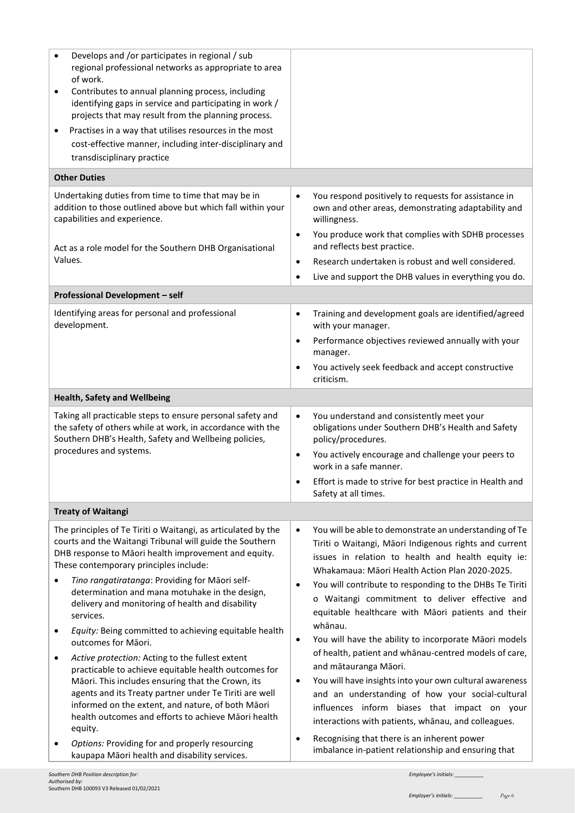| <b>Other Duties</b><br>Undertaking duties from time to time that may be in<br>You respond positively to requests for assistance in<br>$\bullet$<br>addition to those outlined above but which fall within your<br>capabilities and experience.<br>willingness.<br>$\bullet$<br>and reflects best practice.<br>Act as a role model for the Southern DHB Organisational<br>Values.<br>Research undertaken is robust and well considered.<br>$\bullet$<br>Live and support the DHB values in everything you do.<br>$\bullet$<br>Professional Development - self<br>Identifying areas for personal and professional<br>$\bullet$<br>development.<br>with your manager.<br>$\bullet$<br>manager.<br>You actively seek feedback and accept constructive<br>$\bullet$<br>criticism.<br><b>Health, Safety and Wellbeing</b><br>Taking all practicable steps to ensure personal safety and<br>You understand and consistently meet your<br>$\bullet$<br>the safety of others while at work, in accordance with the<br>Southern DHB's Health, Safety and Wellbeing policies,<br>policy/procedures.<br>procedures and systems.<br>You actively encourage and challenge your peers to<br>$\bullet$<br>work in a safe manner.<br>Safety at all times.<br><b>Treaty of Waitangi</b><br>The principles of Te Tiriti o Waitangi, as articulated by the<br>$\bullet$<br>courts and the Waitangi Tribunal will guide the Southern<br>DHB response to Māori health improvement and equity.<br>These contemporary principles include:<br>Whakamaua: Māori Health Action Plan 2020-2025.<br>Tino rangatiratanga: Providing for Māori self-<br>٠<br>determination and mana motuhake in the design,<br>delivery and monitoring of health and disability<br>services.<br>whānau.<br>Equity: Being committed to achieving equitable health<br>$\bullet$<br>outcomes for Māori.<br>Active protection: Acting to the fullest extent<br>٠<br>and mātauranga Māori.<br>practicable to achieve equitable health outcomes for<br>Māori. This includes ensuring that the Crown, its<br>$\bullet$<br>agents and its Treaty partner under Te Tiriti are well<br>informed on the extent, and nature, of both Māori | Develops and /or participates in regional / sub<br>regional professional networks as appropriate to area<br>of work.<br>Contributes to annual planning process, including<br>٠<br>identifying gaps in service and participating in work /<br>projects that may result from the planning process.<br>Practises in a way that utilises resources in the most<br>٠<br>cost-effective manner, including inter-disciplinary and<br>transdisciplinary practice |                                                                                                                                                                                                                                                                                                                                                                                                                                                                                                                                                                                                                                                                                   |
|---------------------------------------------------------------------------------------------------------------------------------------------------------------------------------------------------------------------------------------------------------------------------------------------------------------------------------------------------------------------------------------------------------------------------------------------------------------------------------------------------------------------------------------------------------------------------------------------------------------------------------------------------------------------------------------------------------------------------------------------------------------------------------------------------------------------------------------------------------------------------------------------------------------------------------------------------------------------------------------------------------------------------------------------------------------------------------------------------------------------------------------------------------------------------------------------------------------------------------------------------------------------------------------------------------------------------------------------------------------------------------------------------------------------------------------------------------------------------------------------------------------------------------------------------------------------------------------------------------------------------------------------------------------------------------------------------------------------------------------------------------------------------------------------------------------------------------------------------------------------------------------------------------------------------------------------------------------------------------------------------------------------------------------------------------------------------------------------------------------------------------------------------------------------------------|----------------------------------------------------------------------------------------------------------------------------------------------------------------------------------------------------------------------------------------------------------------------------------------------------------------------------------------------------------------------------------------------------------------------------------------------------------|-----------------------------------------------------------------------------------------------------------------------------------------------------------------------------------------------------------------------------------------------------------------------------------------------------------------------------------------------------------------------------------------------------------------------------------------------------------------------------------------------------------------------------------------------------------------------------------------------------------------------------------------------------------------------------------|
|                                                                                                                                                                                                                                                                                                                                                                                                                                                                                                                                                                                                                                                                                                                                                                                                                                                                                                                                                                                                                                                                                                                                                                                                                                                                                                                                                                                                                                                                                                                                                                                                                                                                                                                                                                                                                                                                                                                                                                                                                                                                                                                                                                                 |                                                                                                                                                                                                                                                                                                                                                                                                                                                          |                                                                                                                                                                                                                                                                                                                                                                                                                                                                                                                                                                                                                                                                                   |
|                                                                                                                                                                                                                                                                                                                                                                                                                                                                                                                                                                                                                                                                                                                                                                                                                                                                                                                                                                                                                                                                                                                                                                                                                                                                                                                                                                                                                                                                                                                                                                                                                                                                                                                                                                                                                                                                                                                                                                                                                                                                                                                                                                                 |                                                                                                                                                                                                                                                                                                                                                                                                                                                          | own and other areas, demonstrating adaptability and<br>You produce work that complies with SDHB processes                                                                                                                                                                                                                                                                                                                                                                                                                                                                                                                                                                         |
|                                                                                                                                                                                                                                                                                                                                                                                                                                                                                                                                                                                                                                                                                                                                                                                                                                                                                                                                                                                                                                                                                                                                                                                                                                                                                                                                                                                                                                                                                                                                                                                                                                                                                                                                                                                                                                                                                                                                                                                                                                                                                                                                                                                 |                                                                                                                                                                                                                                                                                                                                                                                                                                                          |                                                                                                                                                                                                                                                                                                                                                                                                                                                                                                                                                                                                                                                                                   |
|                                                                                                                                                                                                                                                                                                                                                                                                                                                                                                                                                                                                                                                                                                                                                                                                                                                                                                                                                                                                                                                                                                                                                                                                                                                                                                                                                                                                                                                                                                                                                                                                                                                                                                                                                                                                                                                                                                                                                                                                                                                                                                                                                                                 |                                                                                                                                                                                                                                                                                                                                                                                                                                                          |                                                                                                                                                                                                                                                                                                                                                                                                                                                                                                                                                                                                                                                                                   |
|                                                                                                                                                                                                                                                                                                                                                                                                                                                                                                                                                                                                                                                                                                                                                                                                                                                                                                                                                                                                                                                                                                                                                                                                                                                                                                                                                                                                                                                                                                                                                                                                                                                                                                                                                                                                                                                                                                                                                                                                                                                                                                                                                                                 |                                                                                                                                                                                                                                                                                                                                                                                                                                                          | Training and development goals are identified/agreed<br>Performance objectives reviewed annually with your                                                                                                                                                                                                                                                                                                                                                                                                                                                                                                                                                                        |
|                                                                                                                                                                                                                                                                                                                                                                                                                                                                                                                                                                                                                                                                                                                                                                                                                                                                                                                                                                                                                                                                                                                                                                                                                                                                                                                                                                                                                                                                                                                                                                                                                                                                                                                                                                                                                                                                                                                                                                                                                                                                                                                                                                                 |                                                                                                                                                                                                                                                                                                                                                                                                                                                          |                                                                                                                                                                                                                                                                                                                                                                                                                                                                                                                                                                                                                                                                                   |
|                                                                                                                                                                                                                                                                                                                                                                                                                                                                                                                                                                                                                                                                                                                                                                                                                                                                                                                                                                                                                                                                                                                                                                                                                                                                                                                                                                                                                                                                                                                                                                                                                                                                                                                                                                                                                                                                                                                                                                                                                                                                                                                                                                                 |                                                                                                                                                                                                                                                                                                                                                                                                                                                          | obligations under Southern DHB's Health and Safety<br>Effort is made to strive for best practice in Health and                                                                                                                                                                                                                                                                                                                                                                                                                                                                                                                                                                    |
|                                                                                                                                                                                                                                                                                                                                                                                                                                                                                                                                                                                                                                                                                                                                                                                                                                                                                                                                                                                                                                                                                                                                                                                                                                                                                                                                                                                                                                                                                                                                                                                                                                                                                                                                                                                                                                                                                                                                                                                                                                                                                                                                                                                 |                                                                                                                                                                                                                                                                                                                                                                                                                                                          |                                                                                                                                                                                                                                                                                                                                                                                                                                                                                                                                                                                                                                                                                   |
| equity.<br>Recognising that there is an inherent power<br>$\bullet$<br>Options: Providing for and properly resourcing<br>imbalance in-patient relationship and ensuring that<br>kaupapa Māori health and disability services.                                                                                                                                                                                                                                                                                                                                                                                                                                                                                                                                                                                                                                                                                                                                                                                                                                                                                                                                                                                                                                                                                                                                                                                                                                                                                                                                                                                                                                                                                                                                                                                                                                                                                                                                                                                                                                                                                                                                                   | health outcomes and efforts to achieve Māori health                                                                                                                                                                                                                                                                                                                                                                                                      | You will be able to demonstrate an understanding of Te<br>Tiriti o Waitangi, Māori Indigenous rights and current<br>issues in relation to health and health equity ie:<br>You will contribute to responding to the DHBs Te Tiriti<br>o Waitangi commitment to deliver effective and<br>equitable healthcare with Māori patients and their<br>You will have the ability to incorporate Māori models<br>of health, patient and whanau-centred models of care,<br>You will have insights into your own cultural awareness<br>and an understanding of how your social-cultural<br>influences inform biases that impact on your<br>interactions with patients, whanau, and colleagues. |